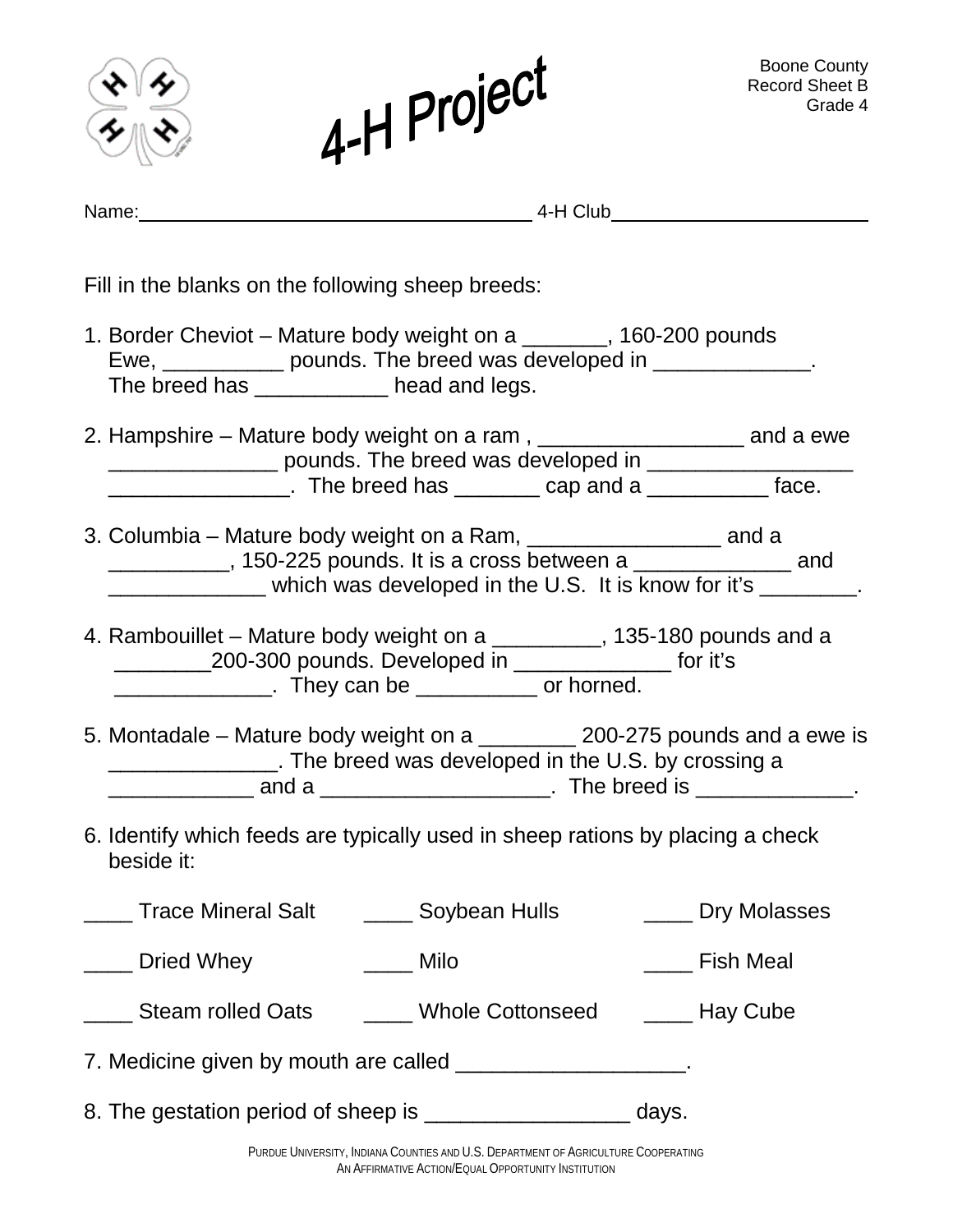|                                                                                                                                                                                             | 4-H Project                                                                                                                                               |  | <b>Boone County</b><br><b>Record Sheet B</b><br>Grade 4 |
|---------------------------------------------------------------------------------------------------------------------------------------------------------------------------------------------|-----------------------------------------------------------------------------------------------------------------------------------------------------------|--|---------------------------------------------------------|
|                                                                                                                                                                                             |                                                                                                                                                           |  |                                                         |
| Fill in the blanks on the following sheep breeds:                                                                                                                                           |                                                                                                                                                           |  |                                                         |
| 1. Border Cheviot - Mature body weight on a _______, 160-200 pounds<br>The breed has ____________ head and legs.                                                                            | Ewe, _____________ pounds. The breed was developed in ______________.                                                                                     |  |                                                         |
|                                                                                                                                                                                             |                                                                                                                                                           |  |                                                         |
|                                                                                                                                                                                             | ____________, 150-225 pounds. It is a cross between a ______________ and<br>_______________ which was developed in the U.S. It is know for it's ________. |  |                                                         |
| 4. Rambouillet – Mature body weight on a _________, 135-180 pounds and a<br>_____________200-300 pounds. Developed in ___________________ for it's<br>They can be ______________ or horned. |                                                                                                                                                           |  |                                                         |
| 5. Montadale – Mature body weight on a<br>200-275 pounds and a ewe is<br>The breed was developed in the U.S. by crossing a                                                                  |                                                                                                                                                           |  |                                                         |
| 6. Identify which feeds are typically used in sheep rations by placing a check<br>beside it:                                                                                                |                                                                                                                                                           |  |                                                         |
| ____ Trace Mineral Salt ______ Soybean Hulls ______ Dry Molasses                                                                                                                            |                                                                                                                                                           |  |                                                         |
| _____ Dried Whey                                                                                                                                                                            | $\frac{1}{2}$ Milo                                                                                                                                        |  | ____ Fish Meal                                          |
| _____ Steam rolled Oats ______ Whole Cottonseed ______ Hay Cube                                                                                                                             |                                                                                                                                                           |  |                                                         |
| 7. Medicine given by mouth are called ______________________.                                                                                                                               |                                                                                                                                                           |  |                                                         |
| 8. The gestation period of sheep is __________________________ days.                                                                                                                        |                                                                                                                                                           |  |                                                         |